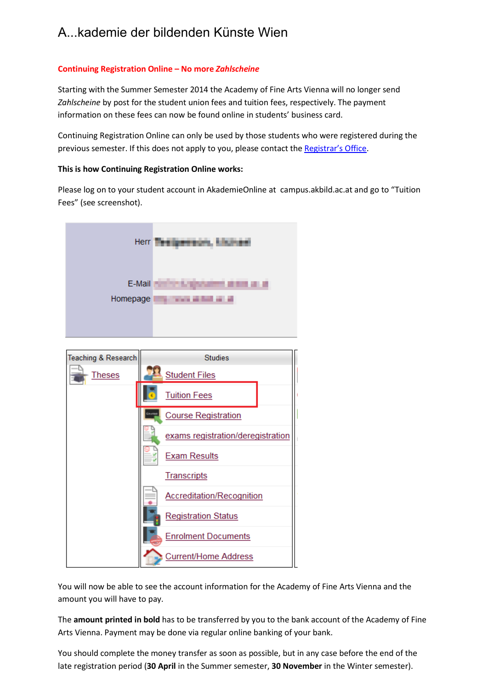## A...kademie der bildenden Künste Wien

## **Continuing Registration Online – No more** *Zahlscheine*

Starting with the Summer Semester 2014 the Academy of Fine Arts Vienna will no longer send *Zahlscheine* by post for the student union fees and tuition fees, respectively. The payment information on these fees can now be found online in students' business card.

Continuing Registration Online can only be used by those students [who were registere](http://www.akbild.ac.at/portal_en/academyen/about-us/administration/registrars-office/study-department?set_language=en&cl=en)d during the previous semester. If this does not apply to you, please contact the Registrar's Office.

## **This is how Continuing Registration Online works:**

Please log on to your student account in AkademieOnline at campus.akbild.ac.at and go to "Tuition Fees" (see screenshot).

| Herr               |                                                               |
|--------------------|---------------------------------------------------------------|
| E-Mail<br>Homepage | .<br>--<br>. .<br><b>The Common</b><br>п<br><b>STATISTICS</b> |
|                    |                                                               |



You will now be able to see the account information for the Academy of Fine Arts Vienna and the amount you will have to pay.

The **amount printed in bold** has to be transferred by you to the bank account of the Academy of Fine Arts Vienna. Payment may be done via regular online banking of your bank.

You should complete the money transfer as soon as possible, but in any case before the end of the late registration period (**30 April** in the Summer semester, **30 November** in the Winter semester).